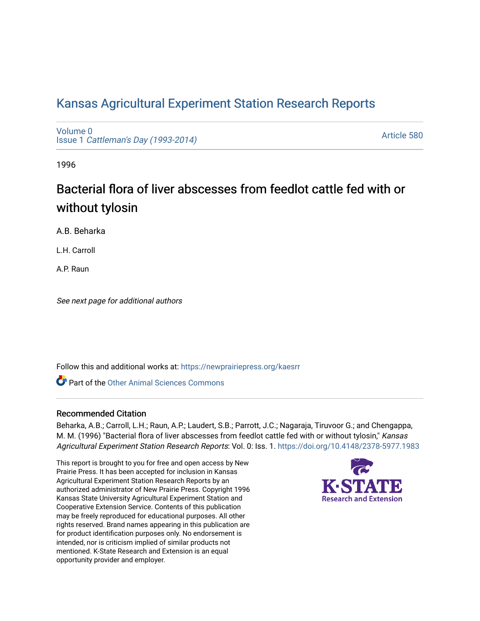# [Kansas Agricultural Experiment Station Research Reports](https://newprairiepress.org/kaesrr)

[Volume 0](https://newprairiepress.org/kaesrr/vol0) Issue 1 [Cattleman's Day \(1993-2014\)](https://newprairiepress.org/kaesrr/vol0/iss1) 

[Article 580](https://newprairiepress.org/kaesrr/vol0/iss1/580) 

1996

# Bacterial flora of liver abscesses from feedlot cattle fed with or without tylosin

A.B. Beharka

L.H. Carroll

A.P. Raun

See next page for additional authors

Follow this and additional works at: [https://newprairiepress.org/kaesrr](https://newprairiepress.org/kaesrr?utm_source=newprairiepress.org%2Fkaesrr%2Fvol0%2Fiss1%2F580&utm_medium=PDF&utm_campaign=PDFCoverPages) 

**C** Part of the [Other Animal Sciences Commons](http://network.bepress.com/hgg/discipline/82?utm_source=newprairiepress.org%2Fkaesrr%2Fvol0%2Fiss1%2F580&utm_medium=PDF&utm_campaign=PDFCoverPages)

## Recommended Citation

Beharka, A.B.; Carroll, L.H.; Raun, A.P.; Laudert, S.B.; Parrott, J.C.; Nagaraja, Tiruvoor G.; and Chengappa, M. M. (1996) "Bacterial flora of liver abscesses from feedlot cattle fed with or without tylosin," Kansas Agricultural Experiment Station Research Reports: Vol. 0: Iss. 1.<https://doi.org/10.4148/2378-5977.1983>

This report is brought to you for free and open access by New Prairie Press. It has been accepted for inclusion in Kansas Agricultural Experiment Station Research Reports by an authorized administrator of New Prairie Press. Copyright 1996 Kansas State University Agricultural Experiment Station and Cooperative Extension Service. Contents of this publication may be freely reproduced for educational purposes. All other rights reserved. Brand names appearing in this publication are for product identification purposes only. No endorsement is intended, nor is criticism implied of similar products not mentioned. K-State Research and Extension is an equal opportunity provider and employer.

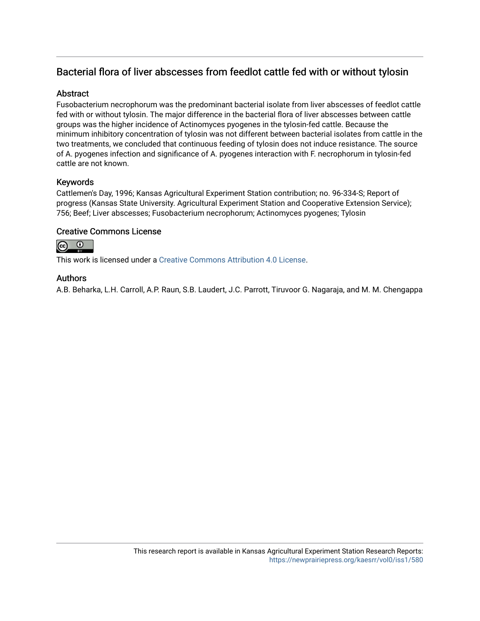# Bacterial flora of liver abscesses from feedlot cattle fed with or without tylosin

# **Abstract**

Fusobacterium necrophorum was the predominant bacterial isolate from liver abscesses of feedlot cattle fed with or without tylosin. The major difference in the bacterial flora of liver abscesses between cattle groups was the higher incidence of Actinomyces pyogenes in the tylosin-fed cattle. Because the minimum inhibitory concentration of tylosin was not different between bacterial isolates from cattle in the two treatments, we concluded that continuous feeding of tylosin does not induce resistance. The source of A. pyogenes infection and significance of A. pyogenes interaction with F. necrophorum in tylosin-fed cattle are not known.

# Keywords

Cattlemen's Day, 1996; Kansas Agricultural Experiment Station contribution; no. 96-334-S; Report of progress (Kansas State University. Agricultural Experiment Station and Cooperative Extension Service); 756; Beef; Liver abscesses; Fusobacterium necrophorum; Actinomyces pyogenes; Tylosin

## Creative Commons License



This work is licensed under a [Creative Commons Attribution 4.0 License](https://creativecommons.org/licenses/by/4.0/).

## Authors

A.B. Beharka, L.H. Carroll, A.P. Raun, S.B. Laudert, J.C. Parrott, Tiruvoor G. Nagaraja, and M. M. Chengappa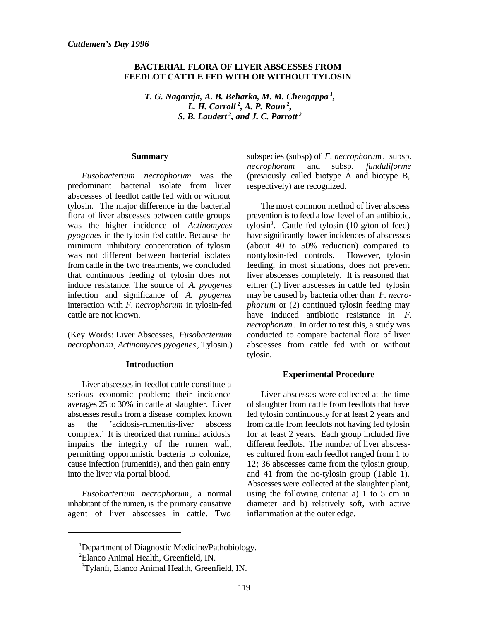#### **BACTERIAL FLORA OF LIVER ABSCESSES FROM FEEDLOT CATTLE FED WITH OR WITHOUT TYLOSIN**

 $T. G. Nagaraja, A. B. Beharka, M. M. Chengappa<sup>1</sup>,$ *L. H. Carroll<sup>2</sup>, A. P. Raun<sup>2</sup>, S. B. Laudert<sup>2</sup>, and J. C. Parrott<sup>2</sup>* 

#### **Summary**

*Fusobacterium necrophorum* was the predominant bacterial isolate from liver abscesses of feedlot cattle fed with or without tylosin. The major difference in the bacterial flora of liver abscesses between cattle groups was the higher incidence of *Actinomyces pyogenes* in the tylosin-fed cattle. Because the minimum inhibitory concentration of tylosin was not different between bacterial isolates from cattle in the two treatments, we concluded that continuous feeding of tylosin does not induce resistance. The source of *A. pyogenes* infection and significance of *A. pyogenes* interaction with *F. necrophorum* in tylosin-fed cattle are not known.

(Key Words: Liver Abscesses, *Fusobacterium necrophorum*, *Actinomyces pyogenes*, Tylosin.)

#### **Introduction**

Liver abscesses in feedlot cattle constitute a serious economic problem; their incidence averages 25 to 30% in cattle at slaughter. Liver abscesses results from a disease complex known as the 'acidosis-rumenitis-liver abscess complex.' It is theorized that ruminal acidosis impairs the integrity of the rumen wall, permitting opportunistic bacteria to colonize, cause infection (rumenitis), and then gain entry into the liver via portal blood.

*Fusobacterium necrophorum*, a normal inhabitant of the rumen, is the primary causative agent of liver abscesses in cattle. Two

subspecies (subsp) of *F. necrophorum*, subsp. *necrophorum* and subsp. *funduliforme* (previously called biotype A and biotype B, respectively) are recognized.

The most common method of liver abscess prevention is to feed a low level of an antibiotic, tylosin<sup>3</sup>. Cattle fed tylosin  $(10 \text{ g/ton of feed})$ have significantly lower incidences of abscesses (about 40 to 50% reduction) compared to nontylosin-fed controls. However, tylosin feeding, in most situations, does not prevent liver abscesses completely. It is reasoned that either (1) liver abscesses in cattle fed tylosin may be caused by bacteria other than *F. necrophorum* or (2) continued tylosin feeding may have induced antibiotic resistance in *F. necrophorum*. In order to test this, a study was conducted to compare bacterial flora of liver abscesses from cattle fed with or without tylosin.

#### **Experimental Procedure**

Liver abscesses were collected at the time of slaughter from cattle from feedlots that have fed tylosin continuously for at least 2 years and from cattle from feedlots not having fed tylosin for at least 2 years. Each group included five different feedlots. The number of liver abscesses cultured from each feedlot ranged from 1 to 12; 36 abscesses came from the tylosin group, and 41 from the no-tylosin group (Table 1). Abscesses were collected at the slaughter plant, using the following criteria: a) 1 to 5 cm in diameter and b) relatively soft, with active inflammation at the outer edge.

<sup>&</sup>lt;sup>1</sup>Department of Diagnostic Medicine/Pathobiology.

<sup>&</sup>lt;sup>2</sup>Elanco Animal Health, Greenfield, IN.

<sup>&</sup>lt;sup>3</sup>Tylanfi, Elanco Animal Health, Greenfield, IN.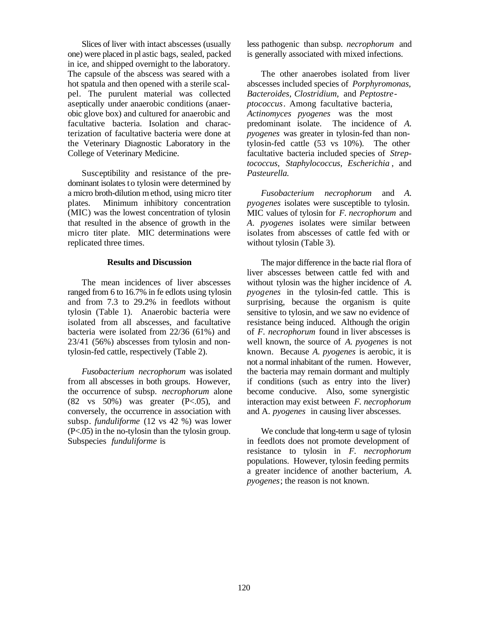Slices of liver with intact abscesses (usually one) were placed in pl astic bags, sealed, packed in ice, and shipped overnight to the laboratory. The capsule of the abscess was seared with a hot spatula and then opened with a sterile scalpel. The purulent material was collected aseptically under anaerobic conditions (anaerobic glove box) and cultured for anaerobic and facultative bacteria. Isolation and characterization of facultative bacteria were done at the Veterinary Diagnostic Laboratory in the College of Veterinary Medicine.

Susceptibility and resistance of the predominant isolates to tylosin were determined by a micro broth-dilution method, using micro titer plates. Minimum inhibitory concentration (MIC) was the lowest concentration of tylosin that resulted in the absence of growth in the micro titer plate. MIC determinations were replicated three times.

#### **Results and Discussion**

The mean incidences of liver abscesses ranged from 6 to 16.7% in fe edlots using tylosin and from 7.3 to 29.2% in feedlots without tylosin (Table 1). Anaerobic bacteria were isolated from all abscesses, and facultative bacteria were isolated from 22/36 (61%) and 23/41 (56%) abscesses from tylosin and nontylosin-fed cattle, respectively (Table 2).

*Fusobacterium necrophorum* was isolated from all abscesses in both groups. However, the occurrence of subsp. *necrophorum* alone  $(82 \text{ vs } 50\%)$  was greater  $(P<.05)$ , and conversely, the occurrence in association with subsp. *funduliforme* (12 vs 42 %) was lower (P<.05) in the no-tylosin than the tylosin group. Subspecies *funduliforme* is

less pathogenic than subsp. *necrophorum* and is generally associated with mixed infections.

The other anaerobes isolated from liver abscesses included species of *Porphyromonas, Bacteroides, Clostridium,* and *Peptostreptococcus*. Among facultative bacteria, *Actinomyces pyogenes* was the most predominant isolate. The incidence of *A. pyogenes* was greater in tylosin-fed than nontylosin-fed cattle (53 vs 10%). The other facultative bacteria included species of *Streptococcus, Staphylococcus, Escherichia* , and *Pasteurella.*

*Fusobacterium necrophorum* and *A. pyogenes* isolates were susceptible to tylosin. MIC values of tylosin for *F. necrophorum* and *A. pyogenes* isolates were similar between isolates from abscesses of cattle fed with or without tylosin (Table 3).

The major difference in the bacte rial flora of liver abscesses between cattle fed with and without tylosin was the higher incidence of *A. pyogenes* in the tylosin-fed cattle. This is surprising, because the organism is quite sensitive to tylosin, and we saw no evidence of resistance being induced. Although the origin of *F. necrophorum* found in liver abscesses is well known, the source of *A. pyogenes* is not known. Because *A. pyogenes* is aerobic, it is not a normal inhabitant of the rumen. However, the bacteria may remain dormant and multiply if conditions (such as entry into the liver) become conducive. Also, some synergistic interaction may exist between *F. necrophorum* and A. *pyogenes* in causing liver abscesses.

We conclude that long-term u sage of tylosin in feedlots does not promote development of resistance to tylosin in *F. necrophorum* populations. However, tylosin feeding permits a greater incidence of another bacterium, *A. pyogenes*; the reason is not known.